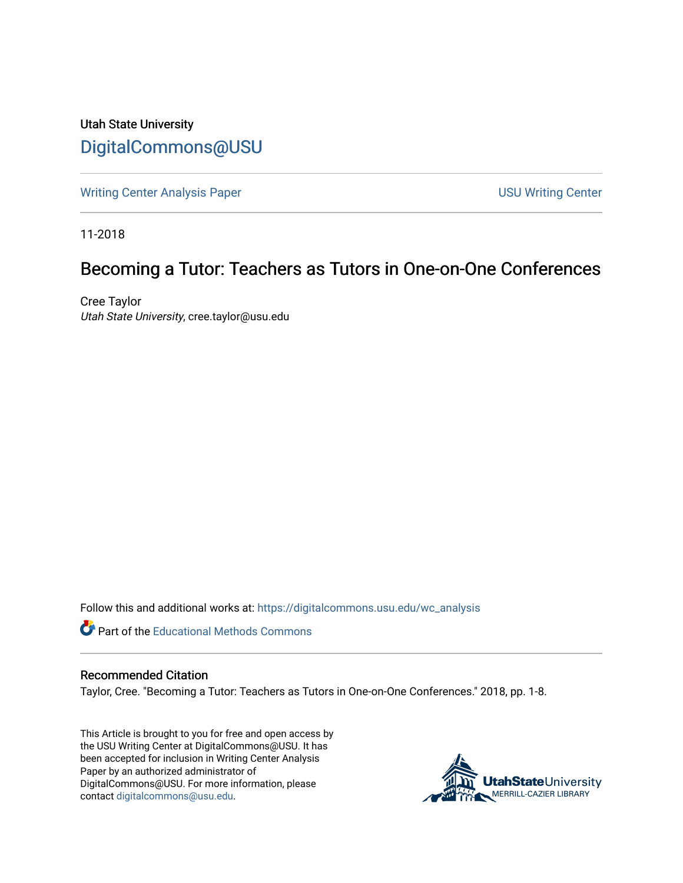Utah State University [DigitalCommons@USU](https://digitalcommons.usu.edu/)

[Writing Center Analysis Paper](https://digitalcommons.usu.edu/wc_analysis) National Communication of the USU Writing Center

11-2018

## Becoming a Tutor: Teachers as Tutors in One-on-One Conferences

Cree Taylor Utah State University, cree.taylor@usu.edu

Follow this and additional works at: [https://digitalcommons.usu.edu/wc\\_analysis](https://digitalcommons.usu.edu/wc_analysis?utm_source=digitalcommons.usu.edu%2Fwc_analysis%2F18&utm_medium=PDF&utm_campaign=PDFCoverPages) 

Part of the [Educational Methods Commons](http://network.bepress.com/hgg/discipline/1227?utm_source=digitalcommons.usu.edu%2Fwc_analysis%2F18&utm_medium=PDF&utm_campaign=PDFCoverPages) 

## Recommended Citation

Taylor, Cree. "Becoming a Tutor: Teachers as Tutors in One-on-One Conferences." 2018, pp. 1-8.

This Article is brought to you for free and open access by the USU Writing Center at DigitalCommons@USU. It has been accepted for inclusion in Writing Center Analysis Paper by an authorized administrator of DigitalCommons@USU. For more information, please contact [digitalcommons@usu.edu](mailto:digitalcommons@usu.edu).

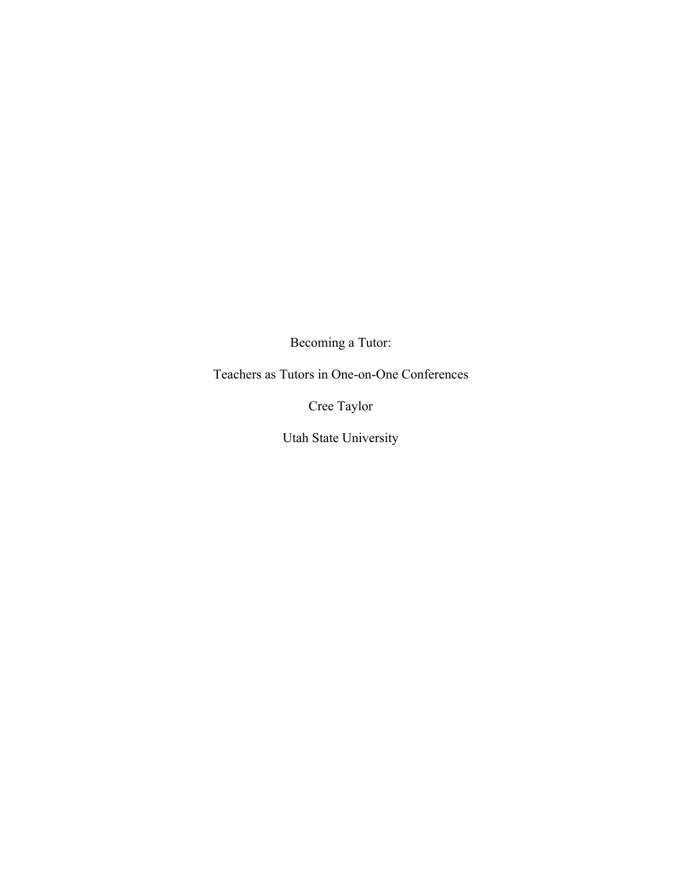Becoming a Tutor:

Teachers as Tutors in One-on-One Conferences

Cree Taylor

Utah State University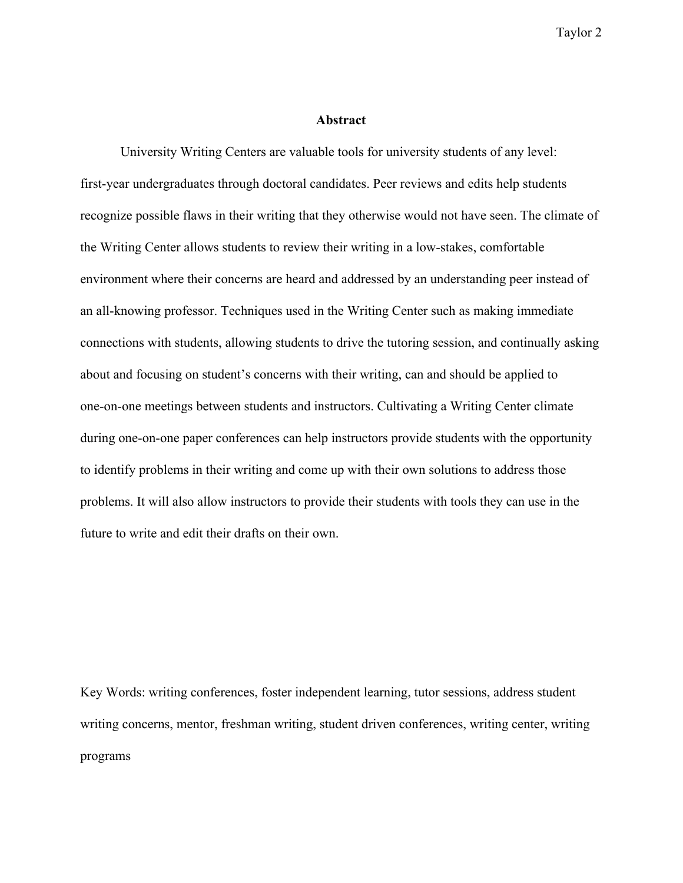## **Abstract**

University Writing Centers are valuable tools for university students of any level: first-year undergraduates through doctoral candidates. Peer reviews and edits help students recognize possible flaws in their writing that they otherwise would not have seen. The climate of the Writing Center allows students to review their writing in a low-stakes, comfortable environment where their concerns are heard and addressed by an understanding peer instead of an all-knowing professor. Techniques used in the Writing Center such as making immediate connections with students, allowing students to drive the tutoring session, and continually asking about and focusing on student's concerns with their writing, can and should be applied to one-on-one meetings between students and instructors. Cultivating a Writing Center climate during one-on-one paper conferences can help instructors provide students with the opportunity to identify problems in their writing and come up with their own solutions to address those problems. It will also allow instructors to provide their students with tools they can use in the future to write and edit their drafts on their own.

Key Words: writing conferences, foster independent learning, tutor sessions, address student writing concerns, mentor, freshman writing, student driven conferences, writing center, writing programs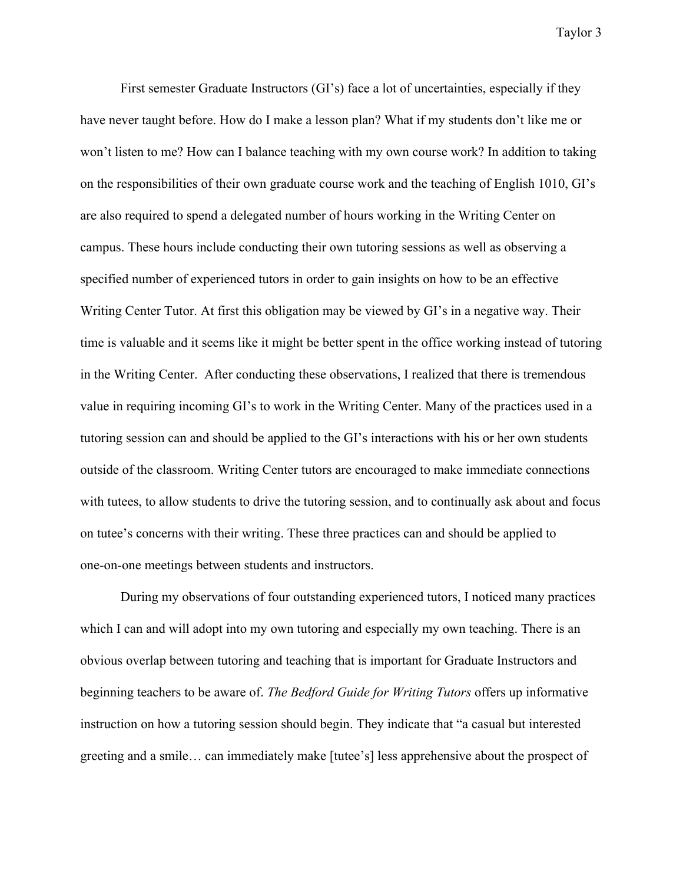First semester Graduate Instructors (GI's) face a lot of uncertainties, especially if they have never taught before. How do I make a lesson plan? What if my students don't like me or won't listen to me? How can I balance teaching with my own course work? In addition to taking on the responsibilities of their own graduate course work and the teaching of English 1010, GI's are also required to spend a delegated number of hours working in the Writing Center on campus. These hours include conducting their own tutoring sessions as well as observing a specified number of experienced tutors in order to gain insights on how to be an effective Writing Center Tutor. At first this obligation may be viewed by GI's in a negative way. Their time is valuable and it seems like it might be better spent in the office working instead of tutoring in the Writing Center. After conducting these observations, I realized that there is tremendous value in requiring incoming GI's to work in the Writing Center. Many of the practices used in a tutoring session can and should be applied to the GI's interactions with his or her own students outside of the classroom. Writing Center tutors are encouraged to make immediate connections with tutees, to allow students to drive the tutoring session, and to continually ask about and focus on tutee's concerns with their writing. These three practices can and should be applied to one-on-one meetings between students and instructors.

During my observations of four outstanding experienced tutors, I noticed many practices which I can and will adopt into my own tutoring and especially my own teaching. There is an obvious overlap between tutoring and teaching that is important for Graduate Instructors and beginning teachers to be aware of. *The Bedford Guide for Writing Tutors* offers up informative instruction on how a tutoring session should begin. They indicate that "a casual but interested greeting and a smile… can immediately make [tutee's] less apprehensive about the prospect of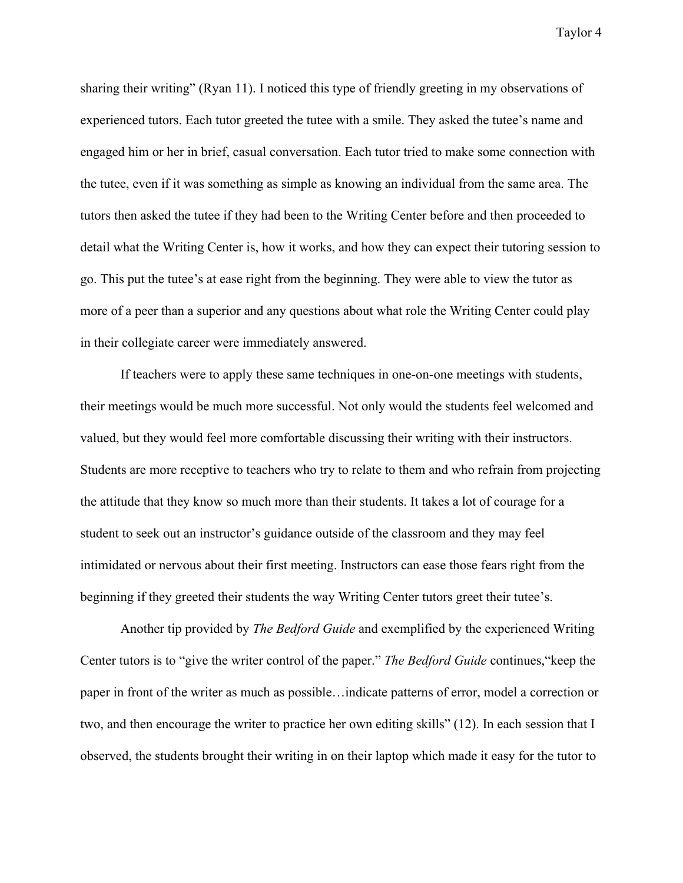sharing their writing" (Ryan 11). I noticed this type of friendly greeting in my observations of experienced tutors. Each tutor greeted the tutee with a smile. They asked the tutee's name and engaged him or her in brief, casual conversation. Each tutor tried to make some connection with the tutee, even if it was something as simple as knowing an individual from the same area. The tutors then asked the tutee if they had been to the Writing Center before and then proceeded to detail what the Writing Center is, how it works, and how they can expect their tutoring session to go. This put the tutee's at ease right from the beginning. They were able to view the tutor as more of a peer than a superior and any questions about what role the Writing Center could play in their collegiate career were immediately answered.

If teachers were to apply these same techniques in one-on-one meetings with students, their meetings would be much more successful. Not only would the students feel welcomed and valued, but they would feel more comfortable discussing their writing with their instructors. Students are more receptive to teachers who try to relate to them and who refrain from projecting the attitude that they know so much more than their students. It takes a lot of courage for a student to seek out an instructor's guidance outside of the classroom and they may feel intimidated or nervous about their first meeting. Instructors can ease those fears right from the beginning if they greeted their students the way Writing Center tutors greet their tutee's.

Another tip provided by *The Bedford Guide* and exemplified by the experienced Writing Center tutors is to "give the writer control of the paper." *The Bedford Guide* continues,"keep the paper in front of the writer as much as possible…indicate patterns of error, model a correction or two, and then encourage the writer to practice her own editing skills" (12). In each session that I observed, the students brought their writing in on their laptop which made it easy for the tutor to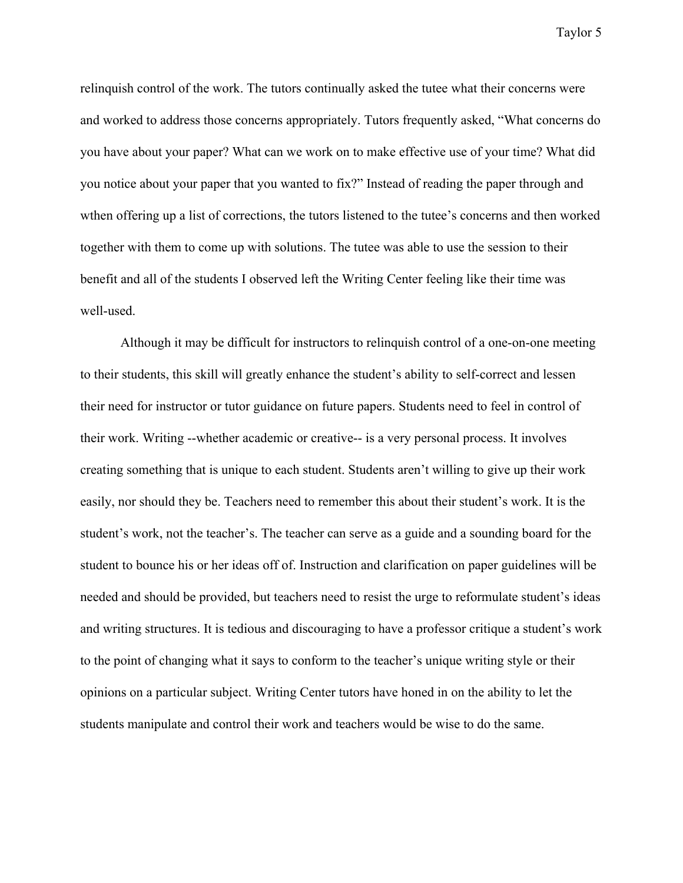relinquish control of the work. The tutors continually asked the tutee what their concerns were and worked to address those concerns appropriately. Tutors frequently asked, "What concerns do you have about your paper? What can we work on to make effective use of your time? What did you notice about your paper that you wanted to fix?" Instead of reading the paper through and wthen offering up a list of corrections, the tutors listened to the tutee's concerns and then worked together with them to come up with solutions. The tutee was able to use the session to their benefit and all of the students I observed left the Writing Center feeling like their time was well-used.

Although it may be difficult for instructors to relinquish control of a one-on-one meeting to their students, this skill will greatly enhance the student's ability to self-correct and lessen their need for instructor or tutor guidance on future papers. Students need to feel in control of their work. Writing --whether academic or creative-- is a very personal process. It involves creating something that is unique to each student. Students aren't willing to give up their work easily, nor should they be. Teachers need to remember this about their student's work. It is the student's work, not the teacher's. The teacher can serve as a guide and a sounding board for the student to bounce his or her ideas off of. Instruction and clarification on paper guidelines will be needed and should be provided, but teachers need to resist the urge to reformulate student's ideas and writing structures. It is tedious and discouraging to have a professor critique a student's work to the point of changing what it says to conform to the teacher's unique writing style or their opinions on a particular subject. Writing Center tutors have honed in on the ability to let the students manipulate and control their work and teachers would be wise to do the same.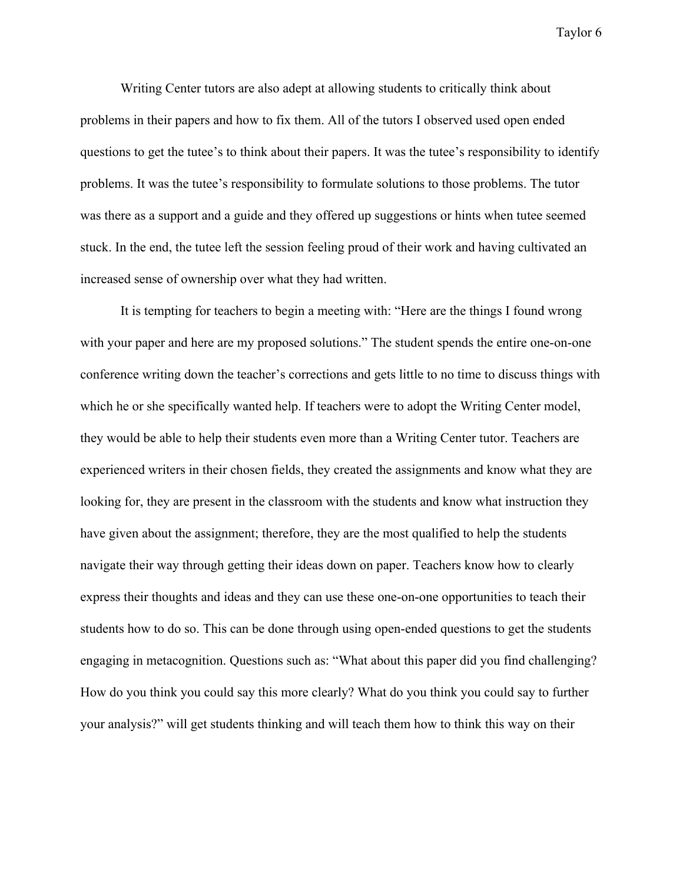Writing Center tutors are also adept at allowing students to critically think about problems in their papers and how to fix them. All of the tutors I observed used open ended questions to get the tutee's to think about their papers. It was the tutee's responsibility to identify problems. It was the tutee's responsibility to formulate solutions to those problems. The tutor was there as a support and a guide and they offered up suggestions or hints when tutee seemed stuck. In the end, the tutee left the session feeling proud of their work and having cultivated an increased sense of ownership over what they had written.

It is tempting for teachers to begin a meeting with: "Here are the things I found wrong with your paper and here are my proposed solutions." The student spends the entire one-on-one conference writing down the teacher's corrections and gets little to no time to discuss things with which he or she specifically wanted help. If teachers were to adopt the Writing Center model, they would be able to help their students even more than a Writing Center tutor. Teachers are experienced writers in their chosen fields, they created the assignments and know what they are looking for, they are present in the classroom with the students and know what instruction they have given about the assignment; therefore, they are the most qualified to help the students navigate their way through getting their ideas down on paper. Teachers know how to clearly express their thoughts and ideas and they can use these one-on-one opportunities to teach their students how to do so. This can be done through using open-ended questions to get the students engaging in metacognition. Questions such as: "What about this paper did you find challenging? How do you think you could say this more clearly? What do you think you could say to further your analysis?" will get students thinking and will teach them how to think this way on their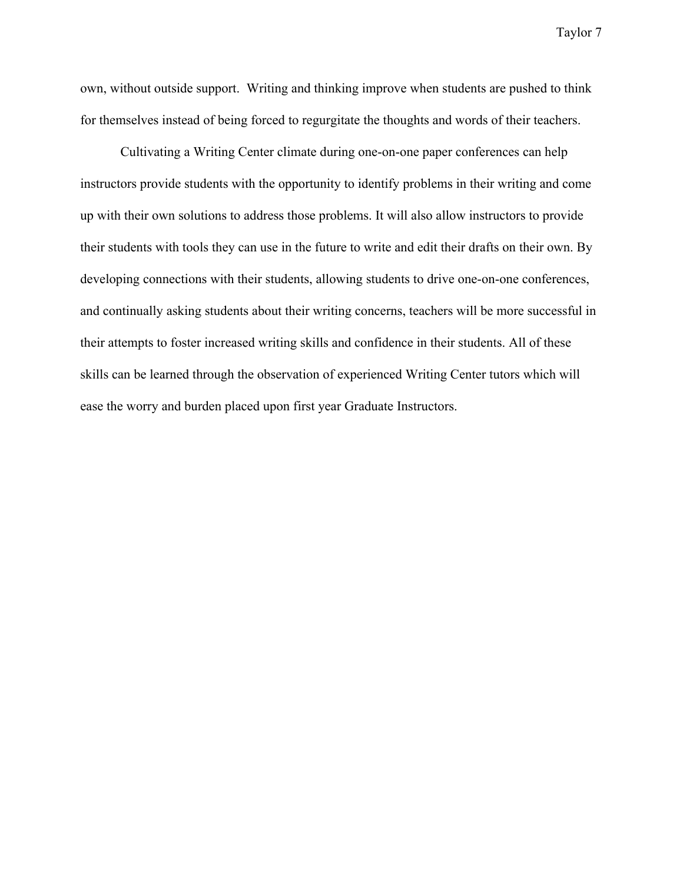own, without outside support. Writing and thinking improve when students are pushed to think for themselves instead of being forced to regurgitate the thoughts and words of their teachers.

Cultivating a Writing Center climate during one-on-one paper conferences can help instructors provide students with the opportunity to identify problems in their writing and come up with their own solutions to address those problems. It will also allow instructors to provide their students with tools they can use in the future to write and edit their drafts on their own. By developing connections with their students, allowing students to drive one-on-one conferences, and continually asking students about their writing concerns, teachers will be more successful in their attempts to foster increased writing skills and confidence in their students. All of these skills can be learned through the observation of experienced Writing Center tutors which will ease the worry and burden placed upon first year Graduate Instructors.